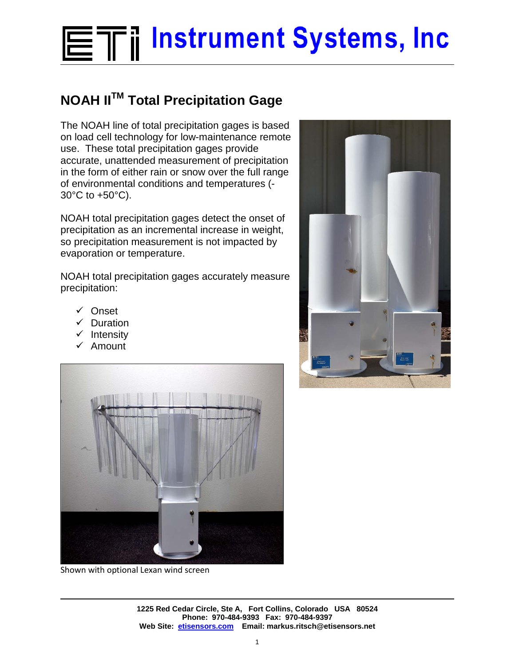## **ETil Instrument Systems, Inc**

## **NOAH IITM Total Precipitation Gage**

The NOAH line of total precipitation gages is based on load cell technology for low-maintenance remote use. These total precipitation gages provide accurate, unattended measurement of precipitation in the form of either rain or snow over the full range of environmental conditions and temperatures (- 30°C to +50°C).

NOAH total precipitation gages detect the onset of precipitation as an incremental increase in weight, so precipitation measurement is not impacted by evaporation or temperature.

NOAH total precipitation gages accurately measure precipitation:

- Onset
- $\checkmark$  Duration
- $\checkmark$  Intensity
- $\times$  Amount